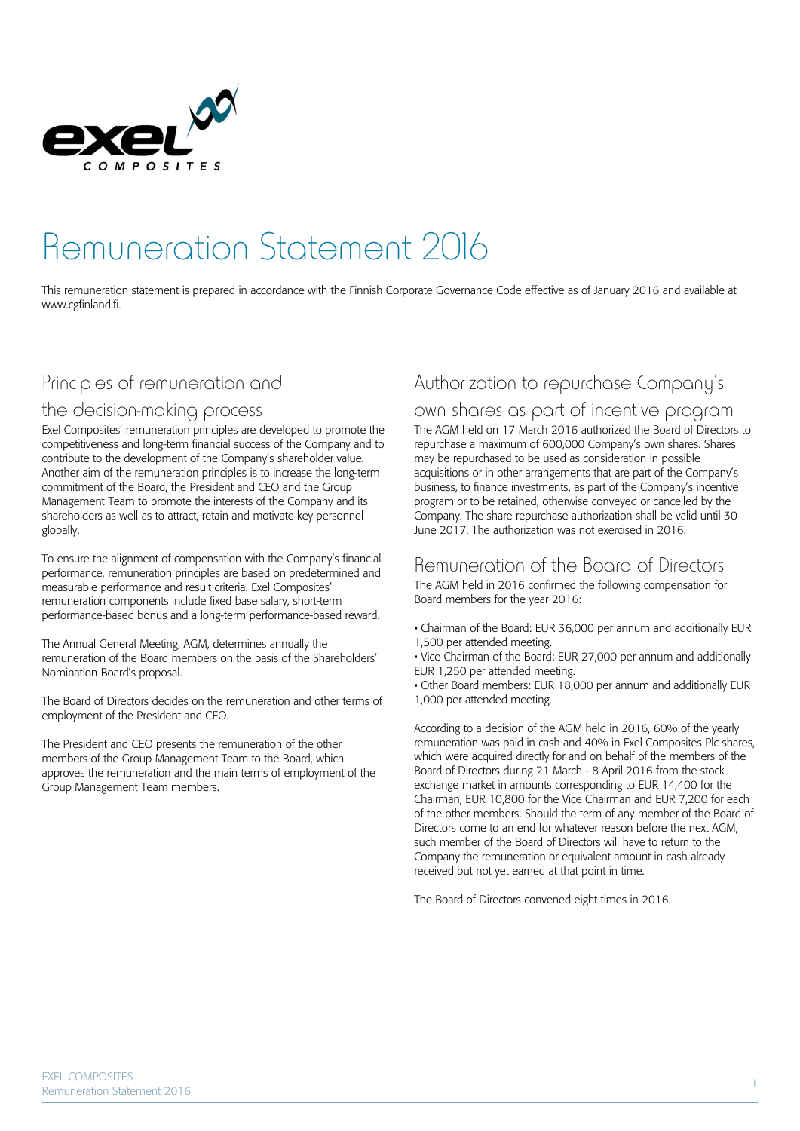

# Remuneration Statement 2016

This remuneration statement is prepared in accordance with the Finnish Corporate Governance Code effective as of January 2016 and available at www.cgfinland.fi.

### Principles of remuneration and

#### the decision-making process

Exel Composites' remuneration principles are developed to promote the competitiveness and long-term financial success of the Company and to contribute to the development of the Company's shareholder value. Another aim of the remuneration principles is to increase the long-term commitment of the Board, the President and CEO and the Group Management Team to promote the interests of the Company and its shareholders as well as to attract, retain and motivate key personnel globally.

To ensure the alignment of compensation with the Company's financial performance, remuneration principles are based on predetermined and measurable performance and result criteria. Exel Composites' remuneration components include fixed base salary, short-term performance-based bonus and a long-term performance-based reward.

The Annual General Meeting, AGM, determines annually the remuneration of the Board members on the basis of the Shareholders' Nomination Board's proposal.

The Board of Directors decides on the remuneration and other terms of employment of the President and CEO.

The President and CEO presents the remuneration of the other members of the Group Management Team to the Board, which approves the remuneration and the main terms of employment of the Group Management Team members.

## Authorization to repurchase Company's

#### own shares as part of incentive program

The AGM held on 17 March 2016 authorized the Board of Directors to repurchase a maximum of 600,000 Company's own shares. Shares may be repurchased to be used as consideration in possible acquisitions or in other arrangements that are part of the Company's business, to finance investments, as part of the Company's incentive program or to be retained, otherwise conveyed or cancelled by the Company. The share repurchase authorization shall be valid until 30 June 2017. The authorization was not exercised in 2016.

#### Remuneration of the Board of Directors

The AGM held in 2016 confirmed the following compensation for Board members for the year 2016:

- Chairman of the Board: EUR 36,000 per annum and additionally EUR 1,500 per attended meeting.
- Vice Chairman of the Board: EUR 27,000 per annum and additionally EUR 1,250 per attended meeting.

• Other Board members: EUR 18,000 per annum and additionally EUR 1,000 per attended meeting.

According to a decision of the AGM held in 2016, 60% of the yearly remuneration was paid in cash and 40% in Exel Composites Plc shares, which were acquired directly for and on behalf of the members of the Board of Directors during 21 March - 8 April 2016 from the stock exchange market in amounts corresponding to EUR 14,400 for the Chairman, EUR 10,800 for the Vice Chairman and EUR 7,200 for each of the other members. Should the term of any member of the Board of Directors come to an end for whatever reason before the next AGM, such member of the Board of Directors will have to return to the Company the remuneration or equivalent amount in cash already received but not yet earned at that point in time.

The Board of Directors convened eight times in 2016.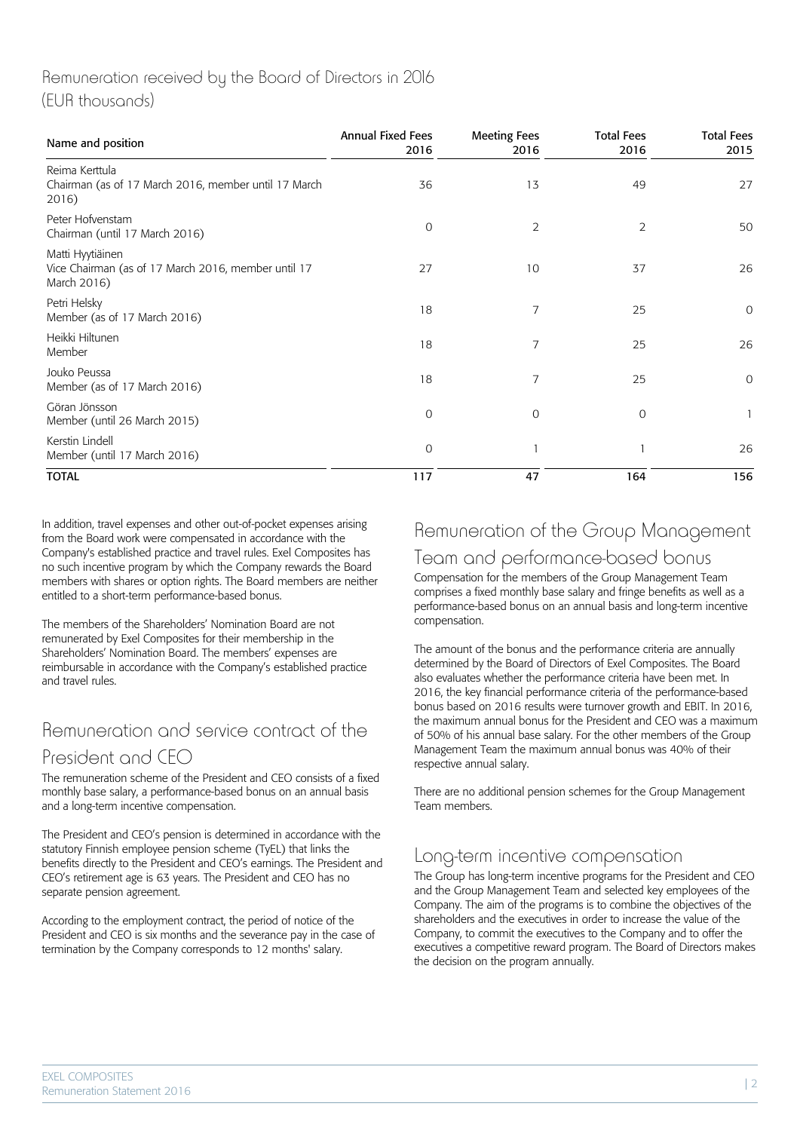#### Remuneration received by the Board of Directors in 2016 (EUR thousands)

| Name and position                                                                      | <b>Annual Fixed Fees</b><br>2016 | <b>Meeting Fees</b><br>2016 | <b>Total Fees</b><br>2016 | <b>Total Fees</b><br>2015 |
|----------------------------------------------------------------------------------------|----------------------------------|-----------------------------|---------------------------|---------------------------|
| Reima Kerttula<br>Chairman (as of 17 March 2016, member until 17 March<br>2016)        | 36                               | 13                          | 49                        | 27                        |
| Peter Hofvenstam<br>Chairman (until 17 March 2016)                                     | 0                                | 2                           | 2                         | 50                        |
| Matti Hyytiäinen<br>Vice Chairman (as of 17 March 2016, member until 17<br>March 2016) | 27                               | 10                          | 37                        | 26                        |
| Petri Helsky<br>Member (as of 17 March 2016)                                           | 18                               | 7                           | 25                        | $\mathcal{O}$             |
| Heikki Hiltunen<br>Member                                                              | 18                               | 7                           | 25                        | 26                        |
| Jouko Peussa<br>Member (as of 17 March 2016)                                           | 18                               | 7                           | 25                        | 0                         |
| Göran Jönsson<br>Member (until 26 March 2015)                                          | $\mathbf 0$                      | $\Omega$                    | $\overline{0}$            | $\mathbf{1}$              |
| Kerstin Lindell<br>Member (until 17 March 2016)                                        | 0                                |                             |                           | 26                        |
| <b>TOTAL</b>                                                                           | 117                              | 47                          | 164                       | 156                       |

In addition, travel expenses and other out-of-pocket expenses arising from the Board work were compensated in accordance with the Company's established practice and travel rules. Exel Composites has no such incentive program by which the Company rewards the Board members with shares or option rights. The Board members are neither entitled to a short-term performance-based bonus.

The members of the Shareholders' Nomination Board are not remunerated by Exel Composites for their membership in the Shareholders' Nomination Board. The members' expenses are reimbursable in accordance with the Company's established practice and travel rules.

## Remuneration and service contract of the President and CEO

The remuneration scheme of the President and CEO consists of a fixed monthly base salary, a performance-based bonus on an annual basis and a long-term incentive compensation.

The President and CEO's pension is determined in accordance with the statutory Finnish employee pension scheme (TyEL) that links the benefits directly to the President and CEO's earnings. The President and CEO's retirement age is 63 years. The President and CEO has no separate pension agreement.

According to the employment contract, the period of notice of the President and CEO is six months and the severance pay in the case of termination by the Company corresponds to 12 months' salary.

## Remuneration of the Group Management Team and performance-based bonus

Compensation for the members of the Group Management Team comprises a fixed monthly base salary and fringe benefits as well as a performance-based bonus on an annual basis and long-term incentive compensation.

The amount of the bonus and the performance criteria are annually determined by the Board of Directors of Exel Composites. The Board also evaluates whether the performance criteria have been met. In 2016, the key financial performance criteria of the performance-based bonus based on 2016 results were turnover growth and EBIT. In 2016, the maximum annual bonus for the President and CEO was a maximum of 50% of his annual base salary. For the other members of the Group Management Team the maximum annual bonus was 40% of their respective annual salary.

There are no additional pension schemes for the Group Management Team members.

#### Long-term incentive compensation

The Group has long-term incentive programs for the President and CEO and the Group Management Team and selected key employees of the Company. The aim of the programs is to combine the objectives of the shareholders and the executives in order to increase the value of the Company, to commit the executives to the Company and to offer the executives a competitive reward program. The Board of Directors makes the decision on the program annually.